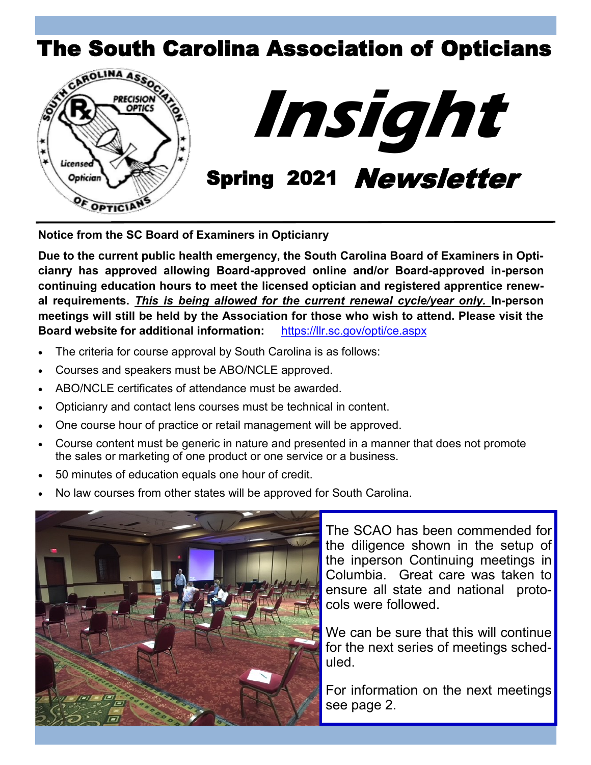





**Notice from the SC Board of Examiners in Opticianry**

**Due to the current public health emergency, the South Carolina Board of Examiners in Opticianry has approved allowing Board-approved online and/or Board-approved in-person continuing education hours to meet the licensed optician and registered apprentice renewal requirements.** *This is being allowed for the current renewal cycle/year only.* **In-person meetings will still be held by the Association for those who wish to attend. Please visit the Board website for additional information:** <https://llr.sc.gov/opti/ce.aspx>

- The criteria for course approval by South Carolina is as follows:
- Courses and speakers must be ABO/NCLE approved.
- ABO/NCLE certificates of attendance must be awarded.
- Opticianry and contact lens courses must be technical in content.
- One course hour of practice or retail management will be approved.
- Course content must be generic in nature and presented in a manner that does not promote the sales or marketing of one product or one service or a business.
- 50 minutes of education equals one hour of credit.
- No law courses from other states will be approved for South Carolina.



The SCAO has been commended for the diligence shown in the setup of the inperson Continuing meetings in Columbia. Great care was taken to ensure all state and national protocols were followed.

We can be sure that this will continue for the next series of meetings scheduled.

For information on the next meetings see page 2.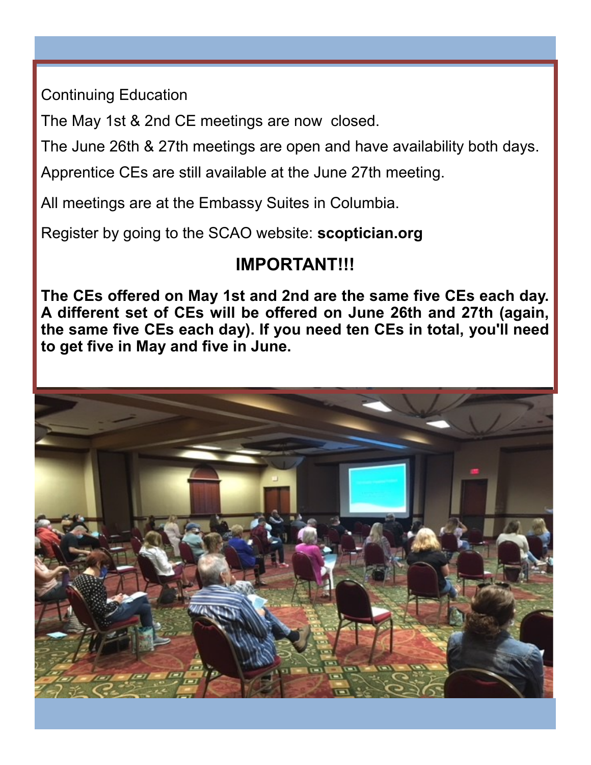Continuing Education

The May 1st & 2nd CE meetings are now closed.

The June 26th & 27th meetings are open and have availability both days.

Apprentice CEs are still available at the June 27th meeting.

All meetings are at the Embassy Suites in Columbia.

Register by going to the SCAO website: **scoptician.org**

# **IMPORTANT!!!**

**The CEs offered on May 1st and 2nd are the same five CEs each day. A different set of CEs will be offered on June 26th and 27th (again, the same five CEs each day). If you need ten CEs in total, you'll need to get five in May and five in June.**

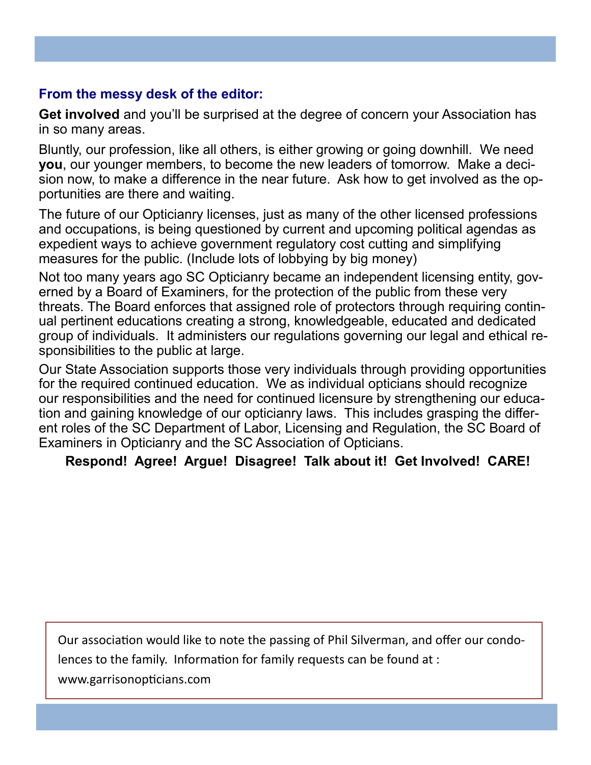#### **From the messy desk of the editor:**

**Get involved** and you'll be surprised at the degree of concern your Association has in so many areas.

Bluntly, our profession, like all others, is either growing or going downhill. We need **you**, our younger members, to become the new leaders of tomorrow. Make a decision now, to make a difference in the near future. Ask how to get involved as the opportunities are there and waiting.

The future of our Opticianry licenses, just as many of the other licensed professions and occupations, is being questioned by current and upcoming political agendas as expedient ways to achieve government regulatory cost cutting and simplifying measures for the public. (Include lots of lobbying by big money)

Not too many years ago SC Opticianry became an independent licensing entity, governed by a Board of Examiners, for the protection of the public from these very threats. The Board enforces that assigned role of protectors through requiring continual pertinent educations creating a strong, knowledgeable, educated and dedicated group of individuals. It administers our regulations governing our legal and ethical responsibilities to the public at large.

Our State Association supports those very individuals through providing opportunities for the required continued education. We as individual opticians should recognize our responsibilities and the need for continued licensure by strengthening our education and gaining knowledge of our opticianry laws. This includes grasping the different roles of the SC Department of Labor, Licensing and Regulation, the SC Board of Examiners in Opticianry and the SC Association of Opticians.

**Respond! Agree! Argue! Disagree! Talk about it! Get Involved! CARE!**

Our association would like to note the passing of Phil Silverman, and offer our condolences to the family. Information for family requests can be found at :

www.garrisonopticians.com